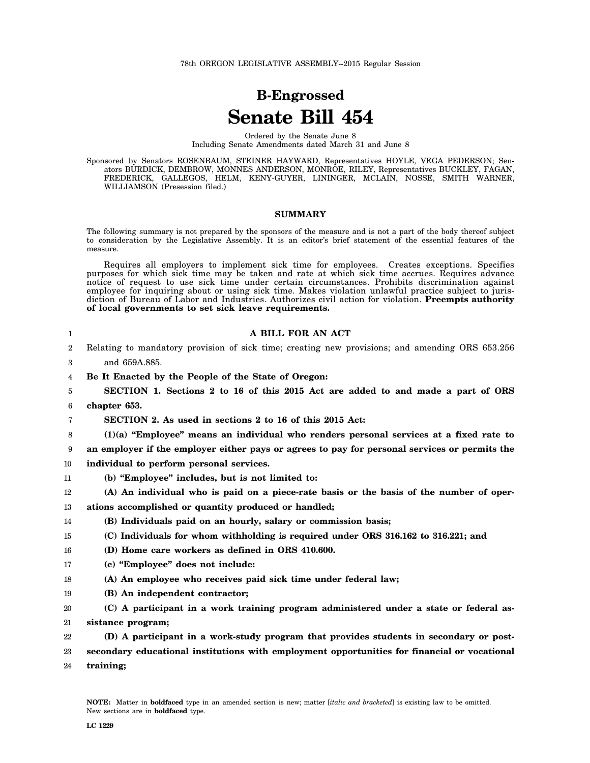# **B-Engrossed Senate Bill 454**

Ordered by the Senate June 8 Including Senate Amendments dated March 31 and June 8

Sponsored by Senators ROSENBAUM, STEINER HAYWARD, Representatives HOYLE, VEGA PEDERSON; Senators BURDICK, DEMBROW, MONNES ANDERSON, MONROE, RILEY, Representatives BUCKLEY, FAGAN, FREDERICK, GALLEGOS, HELM, KENY-GUYER, LININGER, MCLAIN, NOSSE, SMITH WARNER, WILLIAMSON (Presession filed.)

#### **SUMMARY**

The following summary is not prepared by the sponsors of the measure and is not a part of the body thereof subject to consideration by the Legislative Assembly. It is an editor's brief statement of the essential features of the measure.

Requires all employers to implement sick time for employees. Creates exceptions. Specifies purposes for which sick time may be taken and rate at which sick time accrues. Requires advance notice of request to use sick time under certain circumstances. Prohibits discrimination against employee for inquiring about or using sick time. Makes violation unlawful practice subject to jurisdiction of Bureau of Labor and Industries. Authorizes civil action for violation. **Preempts authority of local governments to set sick leave requirements.**

| 1  | A BILL FOR AN ACT                                                                               |
|----|-------------------------------------------------------------------------------------------------|
| 2  | Relating to mandatory provision of sick time; creating new provisions; and amending ORS 653.256 |
| 3  | and 659A.885.                                                                                   |
| 4  | Be It Enacted by the People of the State of Oregon:                                             |
| 5  | SECTION 1. Sections 2 to 16 of this 2015 Act are added to and made a part of ORS                |
| 6  | chapter 653.                                                                                    |
| 7  | SECTION 2. As used in sections 2 to 16 of this 2015 Act:                                        |
| 8  | $(1)(a)$ "Employee" means an individual who renders personal services at a fixed rate to        |
| 9  | an employer if the employer either pays or agrees to pay for personal services or permits the   |
| 10 | individual to perform personal services.                                                        |
| 11 | (b) "Employee" includes, but is not limited to:                                                 |
| 12 | (A) An individual who is paid on a piece-rate basis or the basis of the number of oper-         |
| 13 | ations accomplished or quantity produced or handled;                                            |
| 14 | (B) Individuals paid on an hourly, salary or commission basis;                                  |
| 15 | (C) Individuals for whom withholding is required under ORS 316.162 to 316.221; and              |
| 16 | (D) Home care workers as defined in ORS 410.600.                                                |
| 17 | (c) "Employee" does not include:                                                                |
| 18 | (A) An employee who receives paid sick time under federal law;                                  |
| 19 | (B) An independent contractor;                                                                  |
| 20 | (C) A participant in a work training program administered under a state or federal as-          |
| 21 | sistance program;                                                                               |
| 22 | (D) A participant in a work-study program that provides students in secondary or post-          |
| 23 | secondary educational institutions with employment opportunities for financial or vocational    |
| 24 | training;                                                                                       |
|    |                                                                                                 |
|    |                                                                                                 |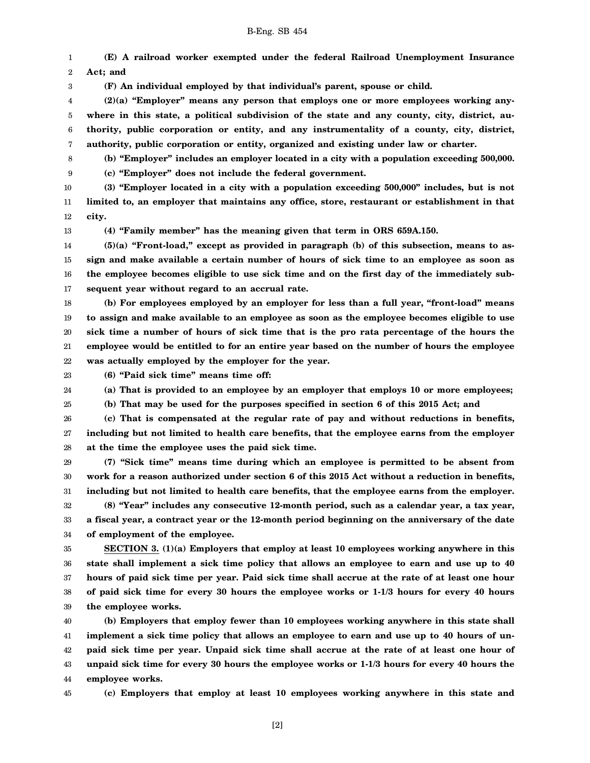1 2 **(E) A railroad worker exempted under the federal Railroad Unemployment Insurance Act; and**

**(F) An individual employed by that individual's parent, spouse or child.**

4 5 6 7 **(2)(a) "Employer" means any person that employs one or more employees working anywhere in this state, a political subdivision of the state and any county, city, district, authority, public corporation or entity, and any instrumentality of a county, city, district, authority, public corporation or entity, organized and existing under law or charter.**

8 **(b) "Employer" includes an employer located in a city with a population exceeding 500,000.**

9 **(c) "Employer" does not include the federal government.**

10 11 12 **(3) "Employer located in a city with a population exceeding 500,000" includes, but is not limited to, an employer that maintains any office, store, restaurant or establishment in that city.**

13

3

**(4) "Family member" has the meaning given that term in ORS 659A.150.**

14 15 16 17 **(5)(a) "Front-load," except as provided in paragraph (b) of this subsection, means to assign and make available a certain number of hours of sick time to an employee as soon as the employee becomes eligible to use sick time and on the first day of the immediately subsequent year without regard to an accrual rate.**

18 19 20 21 22 **(b) For employees employed by an employer for less than a full year, "front-load" means to assign and make available to an employee as soon as the employee becomes eligible to use sick time a number of hours of sick time that is the pro rata percentage of the hours the employee would be entitled to for an entire year based on the number of hours the employee was actually employed by the employer for the year.**

23

25

24 **(6) "Paid sick time" means time off: (a) That is provided to an employee by an employer that employs 10 or more employees;**

**(b) That may be used for the purposes specified in section 6 of this 2015 Act; and**

26 27 28 **(c) That is compensated at the regular rate of pay and without reductions in benefits, including but not limited to health care benefits, that the employee earns from the employer at the time the employee uses the paid sick time.**

29 30 31 32 33 34 **(7) "Sick time" means time during which an employee is permitted to be absent from work for a reason authorized under section 6 of this 2015 Act without a reduction in benefits, including but not limited to health care benefits, that the employee earns from the employer. (8) "Year" includes any consecutive 12-month period, such as a calendar year, a tax year, a fiscal year, a contract year or the 12-month period beginning on the anniversary of the date of employment of the employee.**

35 36 37 38 39 **SECTION 3. (1)(a) Employers that employ at least 10 employees working anywhere in this state shall implement a sick time policy that allows an employee to earn and use up to 40 hours of paid sick time per year. Paid sick time shall accrue at the rate of at least one hour of paid sick time for every 30 hours the employee works or 1-1/3 hours for every 40 hours the employee works.**

40 41 42 43 44 **(b) Employers that employ fewer than 10 employees working anywhere in this state shall implement a sick time policy that allows an employee to earn and use up to 40 hours of unpaid sick time per year. Unpaid sick time shall accrue at the rate of at least one hour of unpaid sick time for every 30 hours the employee works or 1-1/3 hours for every 40 hours the employee works.**

45

**(c) Employers that employ at least 10 employees working anywhere in this state and**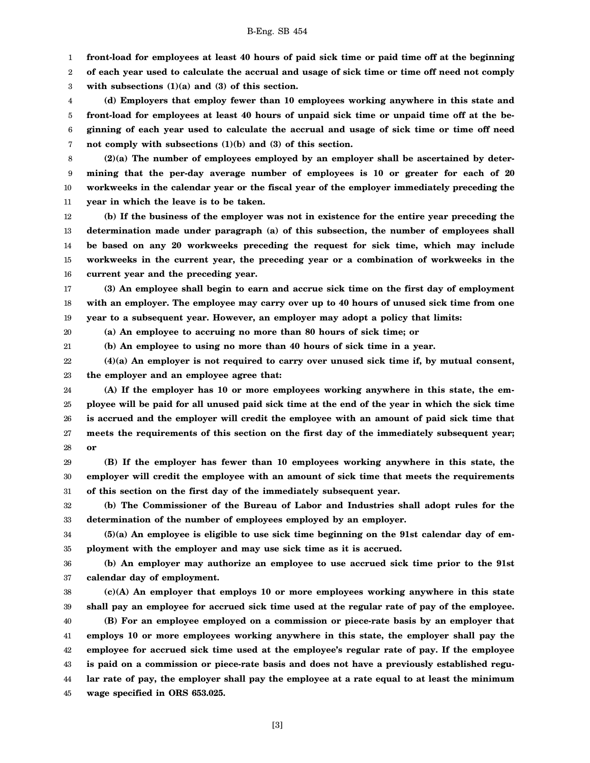1 **front-load for employees at least 40 hours of paid sick time or paid time off at the beginning**

2 **of each year used to calculate the accrual and usage of sick time or time off need not comply**

3 **with subsections (1)(a) and (3) of this section.**

4 5 6 7 **(d) Employers that employ fewer than 10 employees working anywhere in this state and front-load for employees at least 40 hours of unpaid sick time or unpaid time off at the beginning of each year used to calculate the accrual and usage of sick time or time off need not comply with subsections (1)(b) and (3) of this section.**

8 9 10 11 **(2)(a) The number of employees employed by an employer shall be ascertained by determining that the per-day average number of employees is 10 or greater for each of 20 workweeks in the calendar year or the fiscal year of the employer immediately preceding the year in which the leave is to be taken.**

12 13 14 15 16 **(b) If the business of the employer was not in existence for the entire year preceding the determination made under paragraph (a) of this subsection, the number of employees shall be based on any 20 workweeks preceding the request for sick time, which may include workweeks in the current year, the preceding year or a combination of workweeks in the current year and the preceding year.**

17 18 19 **(3) An employee shall begin to earn and accrue sick time on the first day of employment with an employer. The employee may carry over up to 40 hours of unused sick time from one year to a subsequent year. However, an employer may adopt a policy that limits:**

20

21

**(a) An employee to accruing no more than 80 hours of sick time; or**

**(b) An employee to using no more than 40 hours of sick time in a year.**

22 23 **(4)(a) An employer is not required to carry over unused sick time if, by mutual consent, the employer and an employee agree that:**

24 25 26 27 28 **(A) If the employer has 10 or more employees working anywhere in this state, the employee will be paid for all unused paid sick time at the end of the year in which the sick time is accrued and the employer will credit the employee with an amount of paid sick time that meets the requirements of this section on the first day of the immediately subsequent year; or**

29 30 31 **(B) If the employer has fewer than 10 employees working anywhere in this state, the employer will credit the employee with an amount of sick time that meets the requirements of this section on the first day of the immediately subsequent year.**

32 33 **(b) The Commissioner of the Bureau of Labor and Industries shall adopt rules for the determination of the number of employees employed by an employer.**

34 35 **(5)(a) An employee is eligible to use sick time beginning on the 91st calendar day of employment with the employer and may use sick time as it is accrued.**

36 37 **(b) An employer may authorize an employee to use accrued sick time prior to the 91st calendar day of employment.**

38 39 40 41 42 43 44 45 **(c)(A) An employer that employs 10 or more employees working anywhere in this state shall pay an employee for accrued sick time used at the regular rate of pay of the employee. (B) For an employee employed on a commission or piece-rate basis by an employer that employs 10 or more employees working anywhere in this state, the employer shall pay the employee for accrued sick time used at the employee's regular rate of pay. If the employee is paid on a commission or piece-rate basis and does not have a previously established regular rate of pay, the employer shall pay the employee at a rate equal to at least the minimum wage specified in ORS 653.025.**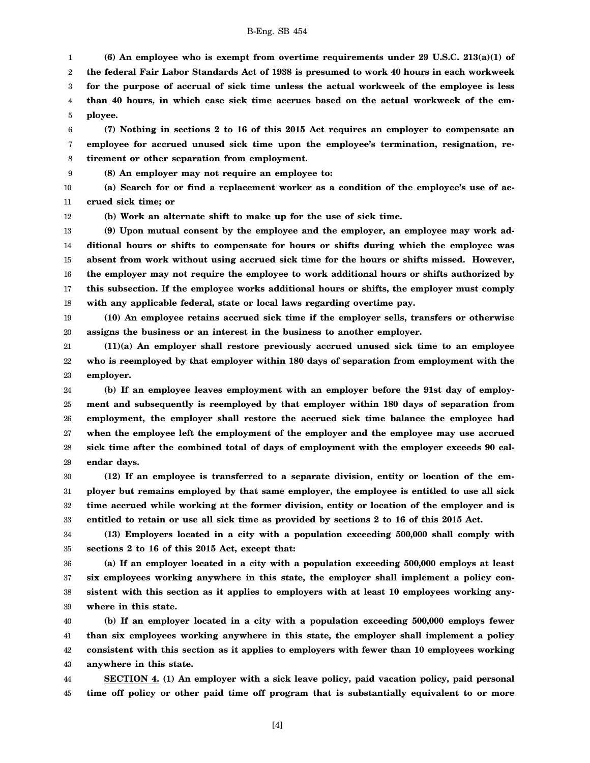1 2 3 4 5 **(6) An employee who is exempt from overtime requirements under 29 U.S.C. 213(a)(1) of the federal Fair Labor Standards Act of 1938 is presumed to work 40 hours in each workweek for the purpose of accrual of sick time unless the actual workweek of the employee is less than 40 hours, in which case sick time accrues based on the actual workweek of the employee.**

6 7 8 **(7) Nothing in sections 2 to 16 of this 2015 Act requires an employer to compensate an employee for accrued unused sick time upon the employee's termination, resignation, retirement or other separation from employment.**

9

**(8) An employer may not require an employee to:**

10 11 **(a) Search for or find a replacement worker as a condition of the employee's use of accrued sick time; or**

12

**(b) Work an alternate shift to make up for the use of sick time.**

13 14 15 16 17 18 **(9) Upon mutual consent by the employee and the employer, an employee may work additional hours or shifts to compensate for hours or shifts during which the employee was absent from work without using accrued sick time for the hours or shifts missed. However, the employer may not require the employee to work additional hours or shifts authorized by this subsection. If the employee works additional hours or shifts, the employer must comply with any applicable federal, state or local laws regarding overtime pay.**

19 20 **(10) An employee retains accrued sick time if the employer sells, transfers or otherwise assigns the business or an interest in the business to another employer.**

21 22 23 **(11)(a) An employer shall restore previously accrued unused sick time to an employee who is reemployed by that employer within 180 days of separation from employment with the employer.**

24 25 26 27 28 29 **(b) If an employee leaves employment with an employer before the 91st day of employment and subsequently is reemployed by that employer within 180 days of separation from employment, the employer shall restore the accrued sick time balance the employee had when the employee left the employment of the employer and the employee may use accrued sick time after the combined total of days of employment with the employer exceeds 90 calendar days.**

30 31 32 33 **(12) If an employee is transferred to a separate division, entity or location of the employer but remains employed by that same employer, the employee is entitled to use all sick time accrued while working at the former division, entity or location of the employer and is entitled to retain or use all sick time as provided by sections 2 to 16 of this 2015 Act.**

34 35 **(13) Employers located in a city with a population exceeding 500,000 shall comply with sections 2 to 16 of this 2015 Act, except that:**

36 37 38 39 **(a) If an employer located in a city with a population exceeding 500,000 employs at least six employees working anywhere in this state, the employer shall implement a policy consistent with this section as it applies to employers with at least 10 employees working anywhere in this state.**

40 41 42 43 **(b) If an employer located in a city with a population exceeding 500,000 employs fewer than six employees working anywhere in this state, the employer shall implement a policy consistent with this section as it applies to employers with fewer than 10 employees working anywhere in this state.**

44 45 **SECTION 4. (1) An employer with a sick leave policy, paid vacation policy, paid personal time off policy or other paid time off program that is substantially equivalent to or more**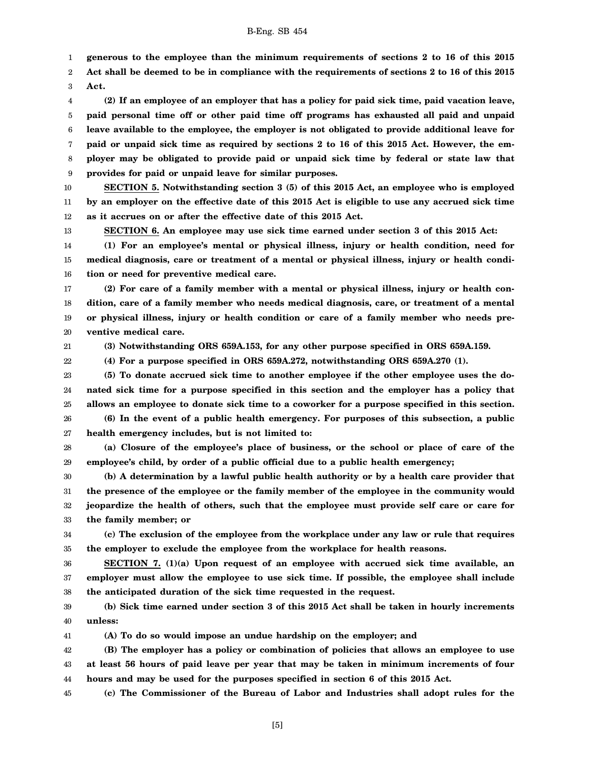1 **generous to the employee than the minimum requirements of sections 2 to 16 of this 2015**

2 3 **Act shall be deemed to be in compliance with the requirements of sections 2 to 16 of this 2015 Act.**

4 5 6 7 8 9 **(2) If an employee of an employer that has a policy for paid sick time, paid vacation leave, paid personal time off or other paid time off programs has exhausted all paid and unpaid leave available to the employee, the employer is not obligated to provide additional leave for paid or unpaid sick time as required by sections 2 to 16 of this 2015 Act. However, the employer may be obligated to provide paid or unpaid sick time by federal or state law that provides for paid or unpaid leave for similar purposes.**

10 11 12 **SECTION 5. Notwithstanding section 3 (5) of this 2015 Act, an employee who is employed by an employer on the effective date of this 2015 Act is eligible to use any accrued sick time as it accrues on or after the effective date of this 2015 Act.**

**SECTION 6. An employee may use sick time earned under section 3 of this 2015 Act:**

14 15 16 **(1) For an employee's mental or physical illness, injury or health condition, need for medical diagnosis, care or treatment of a mental or physical illness, injury or health condition or need for preventive medical care.**

17 18 19 20 **(2) For care of a family member with a mental or physical illness, injury or health condition, care of a family member who needs medical diagnosis, care, or treatment of a mental or physical illness, injury or health condition or care of a family member who needs preventive medical care.**

21 **(3) Notwithstanding ORS 659A.153, for any other purpose specified in ORS 659A.159.**

22 **(4) For a purpose specified in ORS 659A.272, notwithstanding ORS 659A.270 (1).**

23 24 25 26 **(5) To donate accrued sick time to another employee if the other employee uses the donated sick time for a purpose specified in this section and the employer has a policy that allows an employee to donate sick time to a coworker for a purpose specified in this section. (6) In the event of a public health emergency. For purposes of this subsection, a public**

27 **health emergency includes, but is not limited to:**

13

28 29 **(a) Closure of the employee's place of business, or the school or place of care of the employee's child, by order of a public official due to a public health emergency;**

30 31 32 33 **(b) A determination by a lawful public health authority or by a health care provider that the presence of the employee or the family member of the employee in the community would jeopardize the health of others, such that the employee must provide self care or care for the family member; or**

34 35 **(c) The exclusion of the employee from the workplace under any law or rule that requires the employer to exclude the employee from the workplace for health reasons.**

36 37 38 **SECTION 7. (1)(a) Upon request of an employee with accrued sick time available, an employer must allow the employee to use sick time. If possible, the employee shall include the anticipated duration of the sick time requested in the request.**

39 40 **(b) Sick time earned under section 3 of this 2015 Act shall be taken in hourly increments unless:**

41 **(A) To do so would impose an undue hardship on the employer; and**

42 43 44 **(B) The employer has a policy or combination of policies that allows an employee to use at least 56 hours of paid leave per year that may be taken in minimum increments of four hours and may be used for the purposes specified in section 6 of this 2015 Act.**

45 **(c) The Commissioner of the Bureau of Labor and Industries shall adopt rules for the**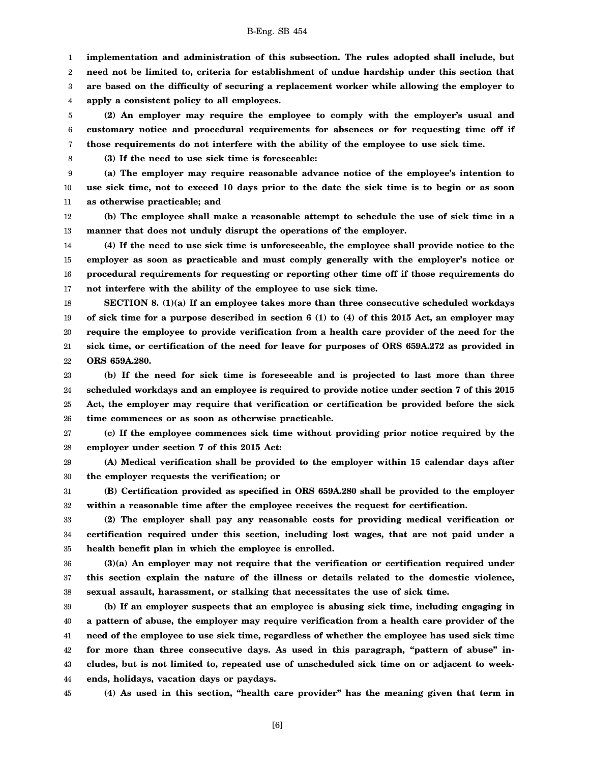1 **implementation and administration of this subsection. The rules adopted shall include, but**

2 **need not be limited to, criteria for establishment of undue hardship under this section that**

3 **are based on the difficulty of securing a replacement worker while allowing the employer to**

4 **apply a consistent policy to all employees.**

5 6 7 **(2) An employer may require the employee to comply with the employer's usual and customary notice and procedural requirements for absences or for requesting time off if those requirements do not interfere with the ability of the employee to use sick time.**

8

**(3) If the need to use sick time is foreseeable:**

9 10 11 **(a) The employer may require reasonable advance notice of the employee's intention to use sick time, not to exceed 10 days prior to the date the sick time is to begin or as soon as otherwise practicable; and**

12 13 **(b) The employee shall make a reasonable attempt to schedule the use of sick time in a manner that does not unduly disrupt the operations of the employer.**

14 15 16 17 **(4) If the need to use sick time is unforeseeable, the employee shall provide notice to the employer as soon as practicable and must comply generally with the employer's notice or procedural requirements for requesting or reporting other time off if those requirements do not interfere with the ability of the employee to use sick time.**

18 19 20 21 22 **SECTION 8. (1)(a) If an employee takes more than three consecutive scheduled workdays of sick time for a purpose described in section 6 (1) to (4) of this 2015 Act, an employer may require the employee to provide verification from a health care provider of the need for the sick time, or certification of the need for leave for purposes of ORS 659A.272 as provided in ORS 659A.280.**

23 24 25 26 **(b) If the need for sick time is foreseeable and is projected to last more than three scheduled workdays and an employee is required to provide notice under section 7 of this 2015 Act, the employer may require that verification or certification be provided before the sick time commences or as soon as otherwise practicable.**

27 28 **(c) If the employee commences sick time without providing prior notice required by the employer under section 7 of this 2015 Act:**

29 30 **(A) Medical verification shall be provided to the employer within 15 calendar days after the employer requests the verification; or**

31 32 **(B) Certification provided as specified in ORS 659A.280 shall be provided to the employer within a reasonable time after the employee receives the request for certification.**

33 34 35 **(2) The employer shall pay any reasonable costs for providing medical verification or certification required under this section, including lost wages, that are not paid under a health benefit plan in which the employee is enrolled.**

36 37 38 **(3)(a) An employer may not require that the verification or certification required under this section explain the nature of the illness or details related to the domestic violence, sexual assault, harassment, or stalking that necessitates the use of sick time.**

39 40 41 42 43 44 **(b) If an employer suspects that an employee is abusing sick time, including engaging in a pattern of abuse, the employer may require verification from a health care provider of the need of the employee to use sick time, regardless of whether the employee has used sick time for more than three consecutive days. As used in this paragraph, "pattern of abuse" includes, but is not limited to, repeated use of unscheduled sick time on or adjacent to weekends, holidays, vacation days or paydays.**

45 **(4) As used in this section, "health care provider" has the meaning given that term in**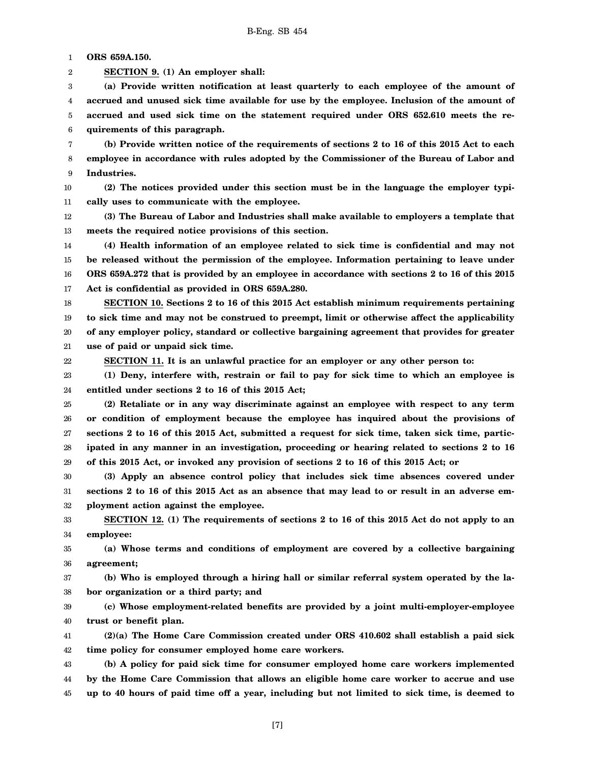1 **ORS 659A.150.**

2 **SECTION 9. (1) An employer shall:**

3 4 5 6 **(a) Provide written notification at least quarterly to each employee of the amount of accrued and unused sick time available for use by the employee. Inclusion of the amount of accrued and used sick time on the statement required under ORS 652.610 meets the requirements of this paragraph.**

7 8 9 **(b) Provide written notice of the requirements of sections 2 to 16 of this 2015 Act to each employee in accordance with rules adopted by the Commissioner of the Bureau of Labor and Industries.**

10 11 **(2) The notices provided under this section must be in the language the employer typically uses to communicate with the employee.**

12 13 **(3) The Bureau of Labor and Industries shall make available to employers a template that meets the required notice provisions of this section.**

14 15 16 17 **(4) Health information of an employee related to sick time is confidential and may not be released without the permission of the employee. Information pertaining to leave under ORS 659A.272 that is provided by an employee in accordance with sections 2 to 16 of this 2015 Act is confidential as provided in ORS 659A.280.**

18 19 20 21 **SECTION 10. Sections 2 to 16 of this 2015 Act establish minimum requirements pertaining to sick time and may not be construed to preempt, limit or otherwise affect the applicability of any employer policy, standard or collective bargaining agreement that provides for greater use of paid or unpaid sick time.**

22

**SECTION 11. It is an unlawful practice for an employer or any other person to:**

23 24 **(1) Deny, interfere with, restrain or fail to pay for sick time to which an employee is entitled under sections 2 to 16 of this 2015 Act;**

25 26 27 28 29 **(2) Retaliate or in any way discriminate against an employee with respect to any term or condition of employment because the employee has inquired about the provisions of sections 2 to 16 of this 2015 Act, submitted a request for sick time, taken sick time, participated in any manner in an investigation, proceeding or hearing related to sections 2 to 16 of this 2015 Act, or invoked any provision of sections 2 to 16 of this 2015 Act; or**

30 31 32 **(3) Apply an absence control policy that includes sick time absences covered under sections 2 to 16 of this 2015 Act as an absence that may lead to or result in an adverse employment action against the employee.**

33 34 **SECTION 12. (1) The requirements of sections 2 to 16 of this 2015 Act do not apply to an employee:**

35 36 **(a) Whose terms and conditions of employment are covered by a collective bargaining agreement;**

37 38 **(b) Who is employed through a hiring hall or similar referral system operated by the labor organization or a third party; and**

39 40 **(c) Whose employment-related benefits are provided by a joint multi-employer-employee trust or benefit plan.**

41 42 **(2)(a) The Home Care Commission created under ORS 410.602 shall establish a paid sick time policy for consumer employed home care workers.**

43 44 45 **(b) A policy for paid sick time for consumer employed home care workers implemented by the Home Care Commission that allows an eligible home care worker to accrue and use up to 40 hours of paid time off a year, including but not limited to sick time, is deemed to**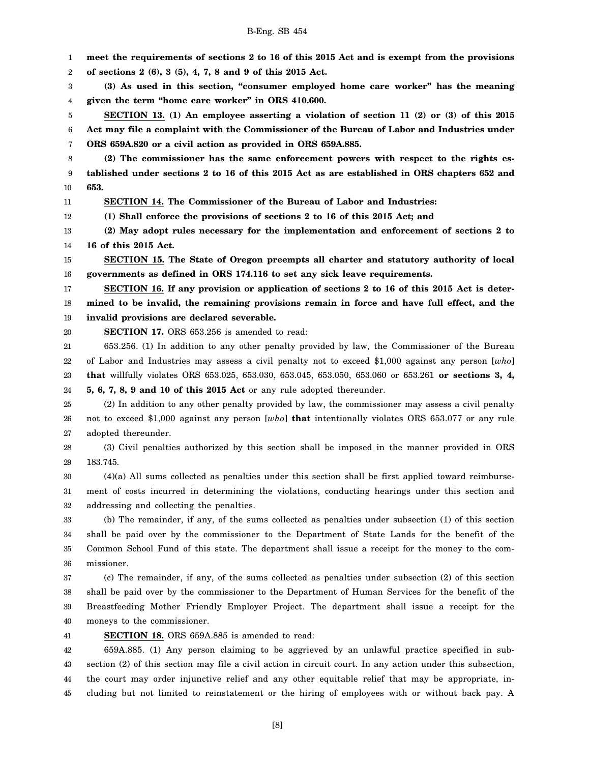1 2 3 4 5 6 7 8 9 10 11 12 13 14 15 16 17 18 19 20 21 22 23 24 25 26 27 28 29 30 31 32 33 34 35 36 37 38 39 40 41 42 43 44 45 **meet the requirements of sections 2 to 16 of this 2015 Act and is exempt from the provisions of sections 2 (6), 3 (5), 4, 7, 8 and 9 of this 2015 Act. (3) As used in this section, "consumer employed home care worker" has the meaning given the term "home care worker" in ORS 410.600. SECTION 13. (1) An employee asserting a violation of section 11 (2) or (3) of this 2015 Act may file a complaint with the Commissioner of the Bureau of Labor and Industries under ORS 659A.820 or a civil action as provided in ORS 659A.885. (2) The commissioner has the same enforcement powers with respect to the rights established under sections 2 to 16 of this 2015 Act as are established in ORS chapters 652 and 653. SECTION 14. The Commissioner of the Bureau of Labor and Industries: (1) Shall enforce the provisions of sections 2 to 16 of this 2015 Act; and (2) May adopt rules necessary for the implementation and enforcement of sections 2 to 16 of this 2015 Act. SECTION 15. The State of Oregon preempts all charter and statutory authority of local governments as defined in ORS 174.116 to set any sick leave requirements. SECTION 16. If any provision or application of sections 2 to 16 of this 2015 Act is determined to be invalid, the remaining provisions remain in force and have full effect, and the invalid provisions are declared severable. SECTION 17.** ORS 653.256 is amended to read: 653.256. (1) In addition to any other penalty provided by law, the Commissioner of the Bureau of Labor and Industries may assess a civil penalty not to exceed \$1,000 against any person [*who*] **that** willfully violates ORS 653.025, 653.030, 653.045, 653.050, 653.060 or 653.261 **or sections 3, 4, 5, 6, 7, 8, 9 and 10 of this 2015 Act** or any rule adopted thereunder. (2) In addition to any other penalty provided by law, the commissioner may assess a civil penalty not to exceed \$1,000 against any person [*who*] **that** intentionally violates ORS 653.077 or any rule adopted thereunder. (3) Civil penalties authorized by this section shall be imposed in the manner provided in ORS 183.745. (4)(a) All sums collected as penalties under this section shall be first applied toward reimbursement of costs incurred in determining the violations, conducting hearings under this section and addressing and collecting the penalties. (b) The remainder, if any, of the sums collected as penalties under subsection (1) of this section shall be paid over by the commissioner to the Department of State Lands for the benefit of the Common School Fund of this state. The department shall issue a receipt for the money to the commissioner. (c) The remainder, if any, of the sums collected as penalties under subsection (2) of this section shall be paid over by the commissioner to the Department of Human Services for the benefit of the Breastfeeding Mother Friendly Employer Project. The department shall issue a receipt for the moneys to the commissioner. **SECTION 18.** ORS 659A.885 is amended to read: 659A.885. (1) Any person claiming to be aggrieved by an unlawful practice specified in subsection (2) of this section may file a civil action in circuit court. In any action under this subsection, the court may order injunctive relief and any other equitable relief that may be appropriate, including but not limited to reinstatement or the hiring of employees with or without back pay. A

B-Eng. SB 454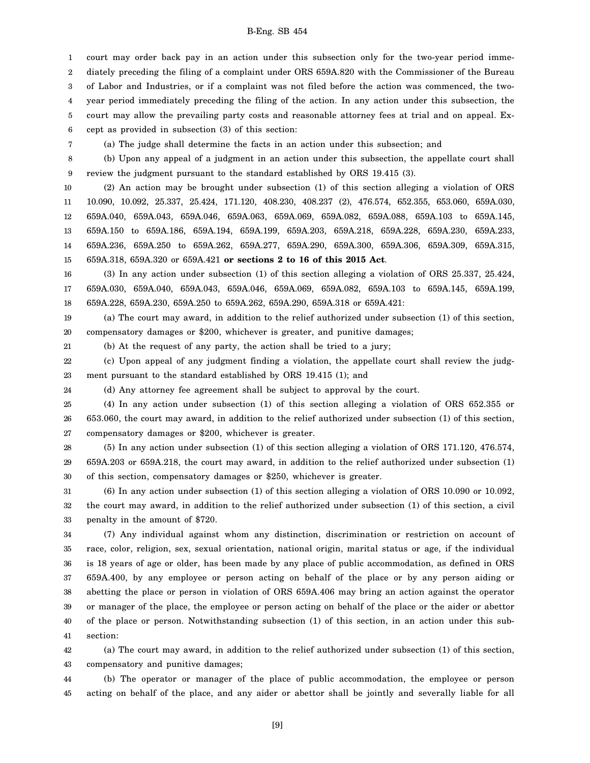1 2 3 4 5 6 court may order back pay in an action under this subsection only for the two-year period immediately preceding the filing of a complaint under ORS 659A.820 with the Commissioner of the Bureau of Labor and Industries, or if a complaint was not filed before the action was commenced, the twoyear period immediately preceding the filing of the action. In any action under this subsection, the court may allow the prevailing party costs and reasonable attorney fees at trial and on appeal. Except as provided in subsection (3) of this section:

7

(a) The judge shall determine the facts in an action under this subsection; and

8 9 (b) Upon any appeal of a judgment in an action under this subsection, the appellate court shall review the judgment pursuant to the standard established by ORS 19.415 (3).

10 11 12 13 14 15 (2) An action may be brought under subsection (1) of this section alleging a violation of ORS 10.090, 10.092, 25.337, 25.424, 171.120, 408.230, 408.237 (2), 476.574, 652.355, 653.060, 659A.030, 659A.040, 659A.043, 659A.046, 659A.063, 659A.069, 659A.082, 659A.088, 659A.103 to 659A.145, 659A.150 to 659A.186, 659A.194, 659A.199, 659A.203, 659A.218, 659A.228, 659A.230, 659A.233, 659A.236, 659A.250 to 659A.262, 659A.277, 659A.290, 659A.300, 659A.306, 659A.309, 659A.315, 659A.318, 659A.320 or 659A.421 **or sections 2 to 16 of this 2015 Act**.

16 17 18 (3) In any action under subsection (1) of this section alleging a violation of ORS 25.337, 25.424, 659A.030, 659A.040, 659A.043, 659A.046, 659A.069, 659A.082, 659A.103 to 659A.145, 659A.199, 659A.228, 659A.230, 659A.250 to 659A.262, 659A.290, 659A.318 or 659A.421:

19 20 (a) The court may award, in addition to the relief authorized under subsection (1) of this section, compensatory damages or \$200, whichever is greater, and punitive damages;

21

22 23 (c) Upon appeal of any judgment finding a violation, the appellate court shall review the judgment pursuant to the standard established by ORS 19.415 (1); and

24 (d) Any attorney fee agreement shall be subject to approval by the court.

(b) At the request of any party, the action shall be tried to a jury;

25 26 27 (4) In any action under subsection (1) of this section alleging a violation of ORS 652.355 or 653.060, the court may award, in addition to the relief authorized under subsection (1) of this section, compensatory damages or \$200, whichever is greater.

28 29 30 (5) In any action under subsection (1) of this section alleging a violation of ORS 171.120, 476.574, 659A.203 or 659A.218, the court may award, in addition to the relief authorized under subsection (1) of this section, compensatory damages or \$250, whichever is greater.

31 32 33 (6) In any action under subsection (1) of this section alleging a violation of ORS 10.090 or 10.092, the court may award, in addition to the relief authorized under subsection (1) of this section, a civil penalty in the amount of \$720.

34 35 36 37 38 39 40 41 (7) Any individual against whom any distinction, discrimination or restriction on account of race, color, religion, sex, sexual orientation, national origin, marital status or age, if the individual is 18 years of age or older, has been made by any place of public accommodation, as defined in ORS 659A.400, by any employee or person acting on behalf of the place or by any person aiding or abetting the place or person in violation of ORS 659A.406 may bring an action against the operator or manager of the place, the employee or person acting on behalf of the place or the aider or abettor of the place or person. Notwithstanding subsection (1) of this section, in an action under this subsection:

42 43 (a) The court may award, in addition to the relief authorized under subsection (1) of this section, compensatory and punitive damages;

44 45 (b) The operator or manager of the place of public accommodation, the employee or person acting on behalf of the place, and any aider or abettor shall be jointly and severally liable for all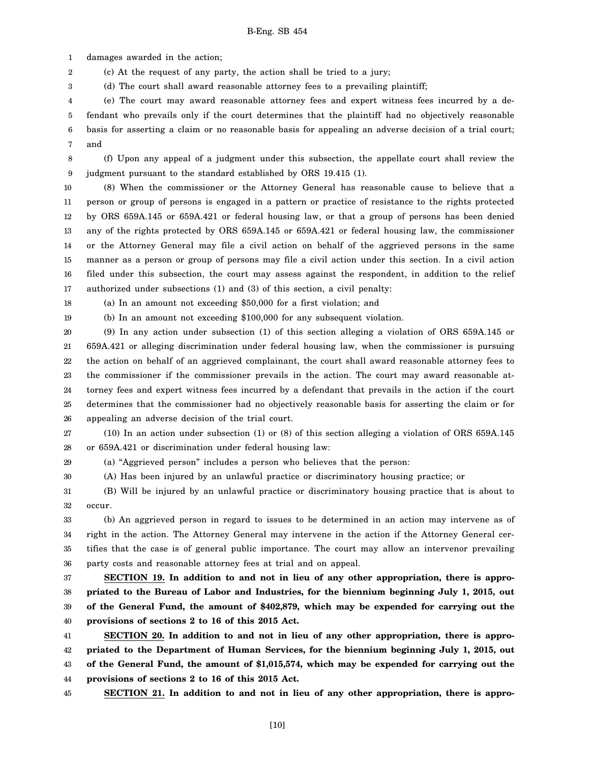1 damages awarded in the action;

2 (c) At the request of any party, the action shall be tried to a jury;

3 (d) The court shall award reasonable attorney fees to a prevailing plaintiff;

4 5 6 7 (e) The court may award reasonable attorney fees and expert witness fees incurred by a defendant who prevails only if the court determines that the plaintiff had no objectively reasonable basis for asserting a claim or no reasonable basis for appealing an adverse decision of a trial court; and

8 9 (f) Upon any appeal of a judgment under this subsection, the appellate court shall review the judgment pursuant to the standard established by ORS 19.415 (1).

10 11 12 13 14 15 16 17 (8) When the commissioner or the Attorney General has reasonable cause to believe that a person or group of persons is engaged in a pattern or practice of resistance to the rights protected by ORS 659A.145 or 659A.421 or federal housing law, or that a group of persons has been denied any of the rights protected by ORS 659A.145 or 659A.421 or federal housing law, the commissioner or the Attorney General may file a civil action on behalf of the aggrieved persons in the same manner as a person or group of persons may file a civil action under this section. In a civil action filed under this subsection, the court may assess against the respondent, in addition to the relief authorized under subsections (1) and (3) of this section, a civil penalty:

18

19

29 30 (a) In an amount not exceeding \$50,000 for a first violation; and

(b) In an amount not exceeding \$100,000 for any subsequent violation.

20 21 22 23 24 25 26 (9) In any action under subsection (1) of this section alleging a violation of ORS 659A.145 or 659A.421 or alleging discrimination under federal housing law, when the commissioner is pursuing the action on behalf of an aggrieved complainant, the court shall award reasonable attorney fees to the commissioner if the commissioner prevails in the action. The court may award reasonable attorney fees and expert witness fees incurred by a defendant that prevails in the action if the court determines that the commissioner had no objectively reasonable basis for asserting the claim or for appealing an adverse decision of the trial court.

27 28 (10) In an action under subsection (1) or (8) of this section alleging a violation of ORS 659A.145 or 659A.421 or discrimination under federal housing law:

(a) "Aggrieved person" includes a person who believes that the person:

(A) Has been injured by an unlawful practice or discriminatory housing practice; or

31 32 (B) Will be injured by an unlawful practice or discriminatory housing practice that is about to occur.

33 34 35 36 (b) An aggrieved person in regard to issues to be determined in an action may intervene as of right in the action. The Attorney General may intervene in the action if the Attorney General certifies that the case is of general public importance. The court may allow an intervenor prevailing party costs and reasonable attorney fees at trial and on appeal.

37 38 39 40 **SECTION 19. In addition to and not in lieu of any other appropriation, there is appropriated to the Bureau of Labor and Industries, for the biennium beginning July 1, 2015, out of the General Fund, the amount of \$402,879, which may be expended for carrying out the provisions of sections 2 to 16 of this 2015 Act.**

41 42 43 44 **SECTION 20. In addition to and not in lieu of any other appropriation, there is appropriated to the Department of Human Services, for the biennium beginning July 1, 2015, out of the General Fund, the amount of \$1,015,574, which may be expended for carrying out the provisions of sections 2 to 16 of this 2015 Act.**

45

**SECTION 21. In addition to and not in lieu of any other appropriation, there is appro-**